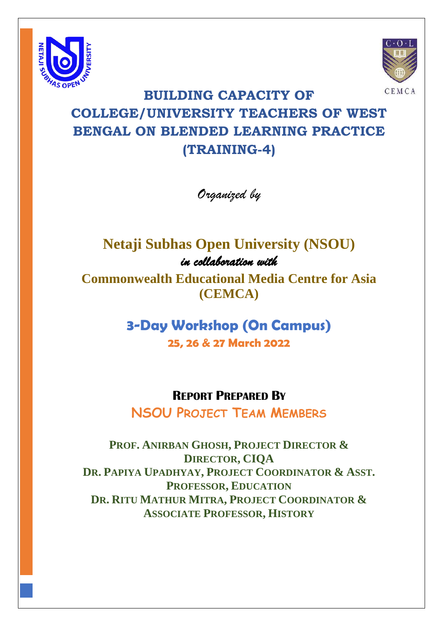



# **BUILDING CAPACITY OF COLLEGE/UNIVERSITY TEACHERS OF WEST BENGAL ON BLENDED LEARNING PRACTICE (TRAINING-4)**

*Organized by* 

## **Netaji Subhas Open University (NSOU)**  *in collaboration with*

**Commonwealth Educational Media Centre for Asia (CEMCA)**

> **3-Day Workshop (On Campus) 25, 26 & 27 March 2022**

## **REPORT PREPARED BY**

**NSOU PROJECT TEAM MEMBERS**

**PROF. ANIRBAN GHOSH, PROJECT DIRECTOR & DIRECTOR, CIQA DR. PAPIYA UPADHYAY, PROJECT COORDINATOR & ASST. PROFESSOR, EDUCATION DR. RITU MATHUR MITRA, PROJECT COORDINATOR & ASSOCIATE PROFESSOR, HISTORY**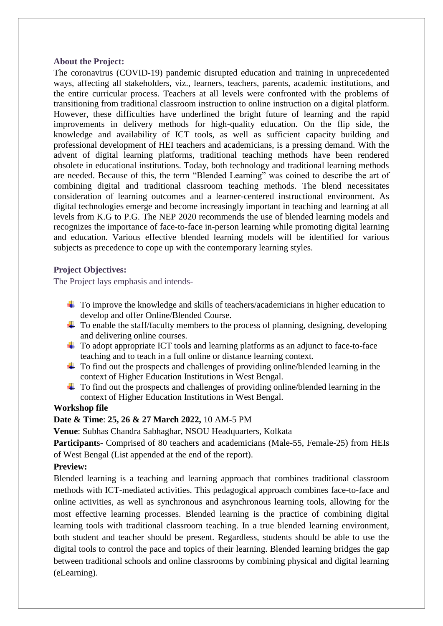#### **About the Project:**

The coronavirus (COVID-19) pandemic disrupted education and training in unprecedented ways, affecting all stakeholders, viz., learners, teachers, parents, academic institutions, and the entire curricular process. Teachers at all levels were confronted with the problems of transitioning from traditional classroom instruction to online instruction on a digital platform. However, these difficulties have underlined the bright future of learning and the rapid improvements in delivery methods for high-quality education. On the flip side, the knowledge and availability of ICT tools, as well as sufficient capacity building and professional development of HEI teachers and academicians, is a pressing demand. With the advent of digital learning platforms, traditional teaching methods have been rendered obsolete in educational institutions. Today, both technology and traditional learning methods are needed. Because of this, the term "Blended Learning" was coined to describe the art of combining digital and traditional classroom teaching methods. The blend necessitates consideration of learning outcomes and a learner-centered instructional environment. As digital technologies emerge and become increasingly important in teaching and learning at all levels from K.G to P.G. The NEP 2020 recommends the use of blended learning models and recognizes the importance of face-to-face in-person learning while promoting digital learning and education. Various effective blended learning models will be identified for various subjects as precedence to cope up with the contemporary learning styles.

## **Project Objectives:**

The Project lays emphasis and intends-

- $\ddot{\bullet}$  To improve the knowledge and skills of teachers/academicians in higher education to develop and offer Online/Blended Course.
- $\ddot{\text{+}}$  To enable the staff/faculty members to the process of planning, designing, developing and delivering online courses.
- $\pm$  To adopt appropriate ICT tools and learning platforms as an adjunct to face-to-face teaching and to teach in a full online or distance learning context.
- $\pm$  To find out the prospects and challenges of providing online/blended learning in the context of Higher Education Institutions in West Bengal.
- $\ddot{\text{+}}$  To find out the prospects and challenges of providing online/blended learning in the context of Higher Education Institutions in West Bengal.

## **Workshop file**

## **Date & Time**: **25, 26 & 27 March 2022,** 10 AM-5 PM

**Venue**: Subhas Chandra Sabhaghar, NSOU Headquarters, Kolkata

**Participant**s- Comprised of 80 teachers and academicians (Male-55, Female-25) from HEIs of West Bengal (List appended at the end of the report).

## **Preview:**

Blended learning is a teaching and learning approach that combines traditional classroom methods with ICT-mediated activities. This pedagogical approach combines face-to-face and online activities, as well as synchronous and asynchronous learning tools, allowing for the most effective learning processes. Blended learning is the practice of combining digital learning tools with traditional classroom teaching. In a true blended learning environment, both student and teacher should be present. Regardless, students should be able to use the digital tools to control the pace and topics of their learning. Blended learning bridges the gap between traditional schools and online classrooms by combining physical and digital learning (eLearning).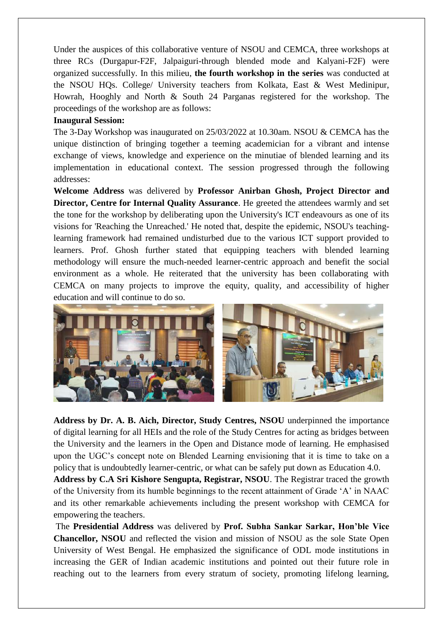Under the auspices of this collaborative venture of NSOU and CEMCA, three workshops at three RCs (Durgapur-F2F, Jalpaiguri-through blended mode and Kalyani-F2F) were organized successfully. In this milieu, **the fourth workshop in the series** was conducted at the NSOU HQs. College/ University teachers from Kolkata, East & West Medinipur, Howrah, Hooghly and North & South 24 Parganas registered for the workshop. The proceedings of the workshop are as follows:

#### **Inaugural Session:**

The 3-Day Workshop was inaugurated on 25/03/2022 at 10.30am. NSOU & CEMCA has the unique distinction of bringing together a teeming academician for a vibrant and intense exchange of views, knowledge and experience on the minutiae of blended learning and its implementation in educational context. The session progressed through the following addresses:

**Welcome Address** was delivered by **Professor Anirban Ghosh, Project Director and Director, Centre for Internal Quality Assurance**. He greeted the attendees warmly and set the tone for the workshop by deliberating upon the University's ICT endeavours as one of its visions for 'Reaching the Unreached.' He noted that, despite the epidemic, NSOU's teachinglearning framework had remained undisturbed due to the various ICT support provided to learners. Prof. Ghosh further stated that equipping teachers with blended learning methodology will ensure the much-needed learner-centric approach and benefit the social environment as a whole. He reiterated that the university has been collaborating with CEMCA on many projects to improve the equity, quality, and accessibility of higher education and will continue to do so.



**Address by Dr. A. B. Aich, Director, Study Centres, NSOU** underpinned the importance of digital learning for all HEIs and the role of the Study Centres for acting as bridges between the University and the learners in the Open and Distance mode of learning. He emphasised upon the UGC's concept note on Blended Learning envisioning that it is time to take on a policy that is undoubtedly learner-centric, or what can be safely put down as Education 4.0.

**Address by C.A Sri Kishore Sengupta, Registrar, NSOU**. The Registrar traced the growth of the University from its humble beginnings to the recent attainment of Grade 'A' in NAAC and its other remarkable achievements including the present workshop with CEMCA for empowering the teachers.

The **Presidential Address** was delivered by **Prof. Subha Sankar Sarkar, Hon'ble Vice Chancellor, NSOU** and reflected the vision and mission of NSOU as the sole State Open University of West Bengal. He emphasized the significance of ODL mode institutions in increasing the GER of Indian academic institutions and pointed out their future role in reaching out to the learners from every stratum of society, promoting lifelong learning,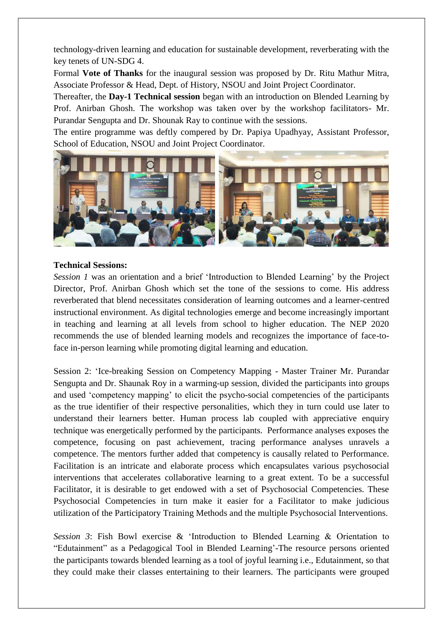technology-driven learning and education for sustainable development, reverberating with the key tenets of UN-SDG 4.

Formal **Vote of Thanks** for the inaugural session was proposed by Dr. Ritu Mathur Mitra, Associate Professor & Head, Dept. of History, NSOU and Joint Project Coordinator.

Thereafter, the **Day-1 Technical session** began with an introduction on Blended Learning by Prof. Anirban Ghosh. The workshop was taken over by the workshop facilitators- Mr. Purandar Sengupta and Dr. Shounak Ray to continue with the sessions.

The entire programme was deftly compered by Dr. Papiya Upadhyay, Assistant Professor, School of Education, NSOU and Joint Project Coordinator.



#### **Technical Sessions:**

*Session 1* was an orientation and a brief 'Introduction to Blended Learning' by the Project Director, Prof. Anirban Ghosh which set the tone of the sessions to come. His address reverberated that blend necessitates consideration of learning outcomes and a learner-centred instructional environment. As digital technologies emerge and become increasingly important in teaching and learning at all levels from school to higher education. The NEP 2020 recommends the use of blended learning models and recognizes the importance of face-toface in-person learning while promoting digital learning and education.

Session 2: 'Ice-breaking Session on Competency Mapping - Master Trainer Mr. Purandar Sengupta and Dr. Shaunak Roy in a warming-up session, divided the participants into groups and used 'competency mapping' to elicit the psycho-social competencies of the participants as the true identifier of their respective personalities, which they in turn could use later to understand their learners better. Human process lab coupled with appreciative enquiry technique was energetically performed by the participants. Performance analyses exposes the competence, focusing on past achievement, tracing performance analyses unravels a competence. The mentors further added that competency is causally related to Performance. Facilitation is an intricate and elaborate process which encapsulates various psychosocial interventions that accelerates collaborative learning to a great extent. To be a successful Facilitator, it is desirable to get endowed with a set of Psychosocial Competencies. These Psychosocial Competencies in turn make it easier for a Facilitator to make judicious utilization of the Participatory Training Methods and the multiple Psychosocial Interventions.

*Session 3*: Fish Bowl exercise & 'Introduction to Blended Learning & Orientation to "Edutainment" as a Pedagogical Tool in Blended Learning'-The resource persons oriented the participants towards blended learning as a tool of joyful learning i.e., Edutainment, so that they could make their classes entertaining to their learners. The participants were grouped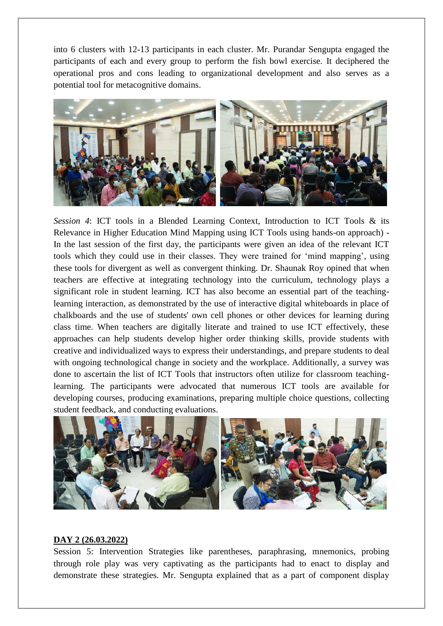into 6 clusters with 12-13 participants in each cluster. Mr. Purandar Sengupta engaged the participants of each and every group to perform the fish bowl exercise. It deciphered the operational pros and cons leading to organizational development and also serves as a potential tool for metacognitive domains.



*Session 4*: ICT tools in a Blended Learning Context, Introduction to ICT Tools & its Relevance in Higher Education Mind Mapping using ICT Tools using hands-on approach) - In the last session of the first day, the participants were given an idea of the relevant ICT tools which they could use in their classes. They were trained for 'mind mapping', using these tools for divergent as well as convergent thinking. Dr. Shaunak Roy opined that when teachers are effective at integrating technology into the curriculum, technology plays a significant role in student learning. ICT has also become an essential part of the teachinglearning interaction, as demonstrated by the use of interactive digital whiteboards in place of chalkboards and the use of students' own cell phones or other devices for learning during class time. When teachers are digitally literate and trained to use ICT effectively, these approaches can help students develop higher order thinking skills, provide students with creative and individualized ways to express their understandings, and prepare students to deal with ongoing technological change in society and the workplace. Additionally, a survey was done to ascertain the list of ICT Tools that instructors often utilize for classroom teachinglearning. The participants were advocated that numerous ICT tools are available for developing courses, producing examinations, preparing multiple choice questions, collecting student feedback, and conducting evaluations.



#### **DAY 2 (26.03.2022)**

Session 5: Intervention Strategies like parentheses, paraphrasing, mnemonics, probing through role play was very captivating as the participants had to enact to display and demonstrate these strategies. Mr. Sengupta explained that as a part of component display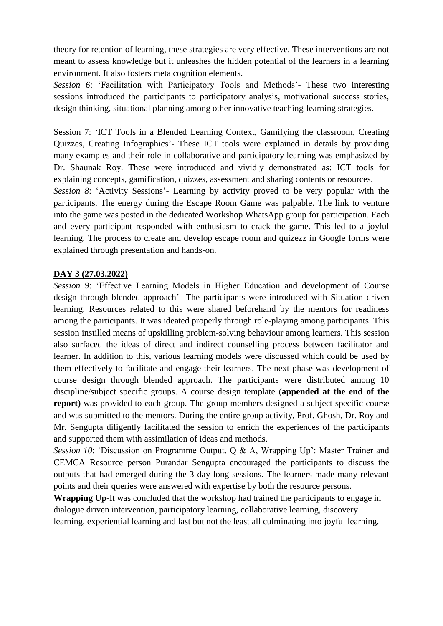theory for retention of learning, these strategies are very effective. These interventions are not meant to assess knowledge but it unleashes the hidden potential of the learners in a learning environment. It also fosters meta cognition elements.

*Session 6*: 'Facilitation with Participatory Tools and Methods'- These two interesting sessions introduced the participants to participatory analysis, motivational success stories, design thinking, situational planning among other innovative teaching-learning strategies.

Session 7: 'ICT Tools in a Blended Learning Context, Gamifying the classroom, Creating Quizzes, Creating Infographics'- These ICT tools were explained in details by providing many examples and their role in collaborative and participatory learning was emphasized by Dr. Shaunak Roy. These were introduced and vividly demonstrated as: ICT tools for explaining concepts, gamification, quizzes, assessment and sharing contents or resources.

*Session 8*: 'Activity Sessions'- Learning by activity proved to be very popular with the participants. The energy during the Escape Room Game was palpable. The link to venture into the game was posted in the dedicated Workshop WhatsApp group for participation. Each and every participant responded with enthusiasm to crack the game. This led to a joyful learning. The process to create and develop escape room and quizezz in Google forms were explained through presentation and hands-on.

#### **DAY 3 (27.03.2022)**

*Session 9*: 'Effective Learning Models in Higher Education and development of Course design through blended approach'- The participants were introduced with Situation driven learning. Resources related to this were shared beforehand by the mentors for readiness among the participants. It was ideated properly through role-playing among participants. This session instilled means of upskilling problem-solving behaviour among learners. This session also surfaced the ideas of direct and indirect counselling process between facilitator and learner. In addition to this, various learning models were discussed which could be used by them effectively to facilitate and engage their learners. The next phase was development of course design through blended approach. The participants were distributed among 10 discipline/subject specific groups. A course design template (**appended at the end of the report**) was provided to each group. The group members designed a subject specific course and was submitted to the mentors. During the entire group activity, Prof. Ghosh, Dr. Roy and Mr. Sengupta diligently facilitated the session to enrich the experiences of the participants and supported them with assimilation of ideas and methods.

*Session 10*: 'Discussion on Programme Output, Q & A, Wrapping Up': Master Trainer and CEMCA Resource person Purandar Sengupta encouraged the participants to discuss the outputs that had emerged during the 3 day-long sessions. The learners made many relevant points and their queries were answered with expertise by both the resource persons.

**Wrapping Up**-It was concluded that the workshop had trained the participants to engage in dialogue driven intervention, participatory learning, collaborative learning, discovery learning, experiential learning and last but not the least all culminating into joyful learning.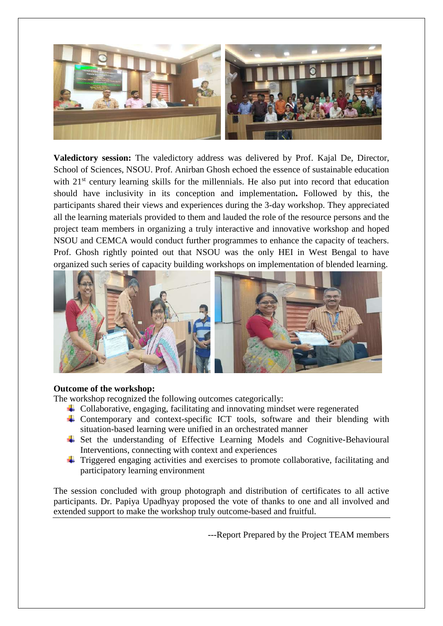

**Valedictory session:** The valedictory address was delivered by Prof. Kajal De, Director, School of Sciences, NSOU. Prof. Anirban Ghosh echoed the essence of sustainable education with 21<sup>st</sup> century learning skills for the millennials. He also put into record that education should have inclusivity in its conception and implementation**.** Followed by this, the participants shared their views and experiences during the 3-day workshop. They appreciated all the learning materials provided to them and lauded the role of the resource persons and the project team members in organizing a truly interactive and innovative workshop and hoped NSOU and CEMCA would conduct further programmes to enhance the capacity of teachers. Prof. Ghosh rightly pointed out that NSOU was the only HEI in West Bengal to have organized such series of capacity building workshops on implementation of blended learning.



#### **Outcome of the workshop:**

The workshop recognized the following outcomes categorically:

- $\ddot{\phantom{a}}$  Collaborative, engaging, facilitating and innovating mindset were regenerated
- $\overline{\text{+}}$  Contemporary and context-specific ICT tools, software and their blending with situation-based learning were unified in an orchestrated manner
- $\overline{\text{I}}$  Set the understanding of Effective Learning Models and Cognitive-Behavioural Interventions, connecting with context and experiences
- $\pm$  Triggered engaging activities and exercises to promote collaborative, facilitating and participatory learning environment

The session concluded with group photograph and distribution of certificates to all active participants. Dr. Papiya Upadhyay proposed the vote of thanks to one and all involved and extended support to make the workshop truly outcome-based and fruitful.

---Report Prepared by the Project TEAM members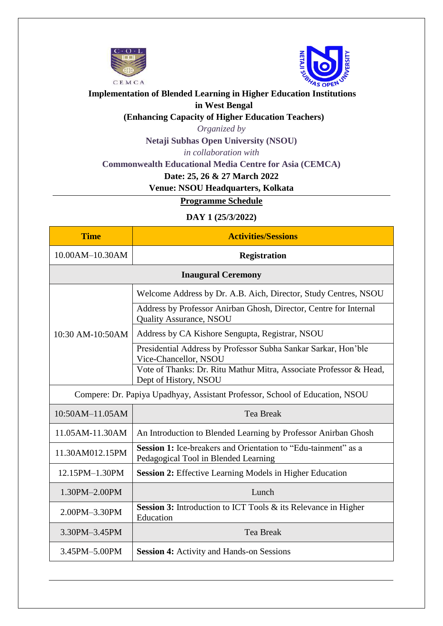



## **Implementation of Blended Learning in Higher Education Institutions in West Bengal**

**(Enhancing Capacity of Higher Education Teachers)**

*Organized by*

**Netaji Subhas Open University (NSOU)**

*in collaboration with*

**Commonwealth Educational Media Centre for Asia (CEMCA)** 

**Date: 25, 26 & 27 March 2022**

**Venue: NSOU Headquarters, Kolkata**

**Programme Schedule**

## **DAY 1 (25/3/2022)**

| <b>Time</b>                                                                  | <b>Activities/Sessions</b>                                                                                    |  |  |  |  |  |
|------------------------------------------------------------------------------|---------------------------------------------------------------------------------------------------------------|--|--|--|--|--|
| 10.00AM-10.30AM                                                              | <b>Registration</b>                                                                                           |  |  |  |  |  |
| <b>Inaugural Ceremony</b>                                                    |                                                                                                               |  |  |  |  |  |
|                                                                              | Welcome Address by Dr. A.B. Aich, Director, Study Centres, NSOU                                               |  |  |  |  |  |
|                                                                              | Address by Professor Anirban Ghosh, Director, Centre for Internal<br><b>Quality Assurance, NSOU</b>           |  |  |  |  |  |
| 10:30 AM-10:50AM                                                             | Address by CA Kishore Sengupta, Registrar, NSOU                                                               |  |  |  |  |  |
|                                                                              | Presidential Address by Professor Subha Sankar Sarkar, Hon'ble<br>Vice-Chancellor, NSOU                       |  |  |  |  |  |
|                                                                              | Vote of Thanks: Dr. Ritu Mathur Mitra, Associate Professor & Head,<br>Dept of History, NSOU                   |  |  |  |  |  |
| Compere: Dr. Papiya Upadhyay, Assistant Professor, School of Education, NSOU |                                                                                                               |  |  |  |  |  |
| 10:50AM-11.05AM                                                              | <b>Tea Break</b>                                                                                              |  |  |  |  |  |
| 11.05AM-11.30AM                                                              | An Introduction to Blended Learning by Professor Anirban Ghosh                                                |  |  |  |  |  |
| 11.30AM012.15PM                                                              | <b>Session 1:</b> Ice-breakers and Orientation to "Edu-tainment" as a<br>Pedagogical Tool in Blended Learning |  |  |  |  |  |
| 12.15PM-1.30PM                                                               | <b>Session 2:</b> Effective Learning Models in Higher Education                                               |  |  |  |  |  |
| 1.30PM-2.00PM                                                                | Lunch                                                                                                         |  |  |  |  |  |
| 2.00PM-3.30PM                                                                | <b>Session 3:</b> Introduction to ICT Tools & its Relevance in Higher<br>Education                            |  |  |  |  |  |
| 3.30PM-3.45PM                                                                | <b>Tea Break</b>                                                                                              |  |  |  |  |  |
| 3.45PM-5.00PM                                                                | <b>Session 4:</b> Activity and Hands-on Sessions                                                              |  |  |  |  |  |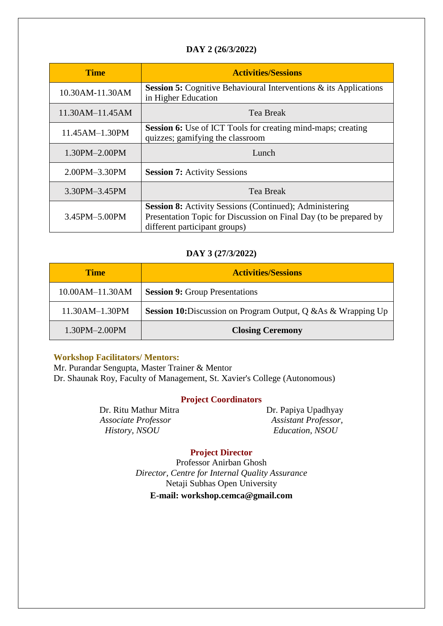## **DAY 2 (26/3/2022)**

| <b>Time</b>     | <b>Activities/Sessions</b>                                                                                                                                           |
|-----------------|----------------------------------------------------------------------------------------------------------------------------------------------------------------------|
| 10.30AM-11.30AM | <b>Session 5:</b> Cognitive Behavioural Interventions $\&$ its Applications<br>in Higher Education                                                                   |
| 11.30AM-11.45AM | Tea Break                                                                                                                                                            |
| 11.45AM-1.30PM  | <b>Session 6:</b> Use of ICT Tools for creating mind-maps; creating<br>quizzes; gamifying the classroom                                                              |
| 1.30PM-2.00PM   | Lunch                                                                                                                                                                |
| 2.00PM-3.30PM   | <b>Session 7: Activity Sessions</b>                                                                                                                                  |
| 3.30PM-3.45PM   | <b>Tea Break</b>                                                                                                                                                     |
| 3.45PM-5.00PM   | <b>Session 8:</b> Activity Sessions (Continued); Administering<br>Presentation Topic for Discussion on Final Day (to be prepared by<br>different participant groups) |

#### **DAY 3 (27/3/2022)**

| <b>Time</b>       | <b>Activities/Sessions</b>                                            |
|-------------------|-----------------------------------------------------------------------|
| $10.00AM-11.30AM$ | <b>Session 9:</b> Group Presentations                                 |
| 11.30AM-1.30PM    | <b>Session 10:</b> Discussion on Program Output, Q & As & Wrapping Up |
| 1.30PM-2.00PM     | <b>Closing Ceremony</b>                                               |

#### **Workshop Facilitators/ Mentors:**

Mr. Purandar Sengupta, Master Trainer & Mentor Dr. Shaunak Roy, Faculty of Management, St. Xavier's College (Autonomous)

#### **Project Coordinators**

*Associate Professor Assistant Professor, History, NSOU Education, NSOU*

Dr. Ritu Mathur Mitra Dr. Papiya Upadhyay

## **Project Director**

Professor Anirban Ghosh *Director, Centre for Internal Quality Assurance* Netaji Subhas Open University **E-mail: workshop.cemca@gmail.com**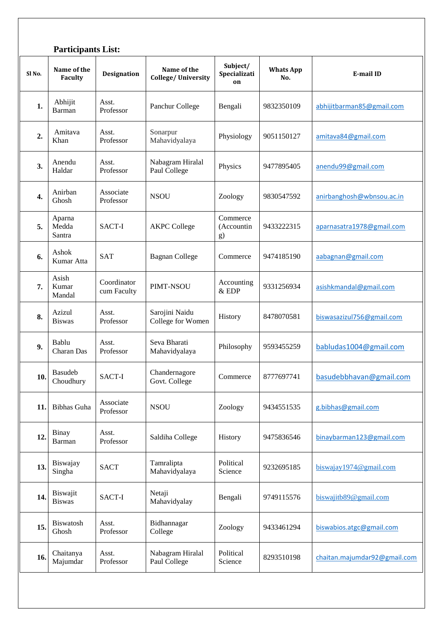|        | <b>Participants List:</b>        |                            |                                     |                                |                         |                              |  |  |
|--------|----------------------------------|----------------------------|-------------------------------------|--------------------------------|-------------------------|------------------------------|--|--|
| Sl No. | Name of the<br><b>Faculty</b>    | <b>Designation</b>         | Name of the<br>College/University   | Subject/<br>Specializati<br>on | <b>Whats App</b><br>No. | E-mail ID                    |  |  |
| 1.     | Abhijit<br><b>Barman</b>         | Asst.<br>Professor         | Panchur College                     | Bengali                        | 9832350109              | abhijitbarman85@gmail.com    |  |  |
| 2.     | Amitava<br>Khan                  | Asst.<br>Professor         | Sonarpur<br>Mahavidyalaya           | Physiology                     | 9051150127              | amitava84@gmail.com          |  |  |
| 3.     | Anendu<br>Haldar                 | Asst.<br>Professor         | Nabagram Hiralal<br>Paul College    | Physics                        | 9477895405              | anendu99@gmail.com           |  |  |
| 4.     | Anirban<br>Ghosh                 | Associate<br>Professor     | <b>NSOU</b>                         | Zoology                        | 9830547592              | anirbanghosh@wbnsou.ac.in    |  |  |
| 5.     | Aparna<br>Medda<br>Santra        | SACT-I                     | <b>AKPC College</b>                 | Commerce<br>(Accountin<br>g)   | 9433222315              | aparnasatra1978@gmail.com    |  |  |
| 6.     | Ashok<br>Kumar Atta              | <b>SAT</b>                 | <b>Bagnan College</b>               | Commerce                       | 9474185190              | aabagnan@gmail.com           |  |  |
| 7.     | Asish<br>Kumar<br>Mandal         | Coordinator<br>cum Faculty | PIMT-NSOU                           | Accounting<br>$&$ EDP          | 9331256934              | asishkmandal@gmail.com       |  |  |
| 8.     | Azizul<br><b>Biswas</b>          | Asst.<br>Professor         | Sarojini Naidu<br>College for Women | History                        | 8478070581              | biswasazizul756@gmail.com    |  |  |
| 9.     | Bablu<br>Charan Das              | Asst.<br>Professor         | Seva Bharati<br>Mahavidyalaya       | Philosophy                     | 9593455259              | babludas1004@gmail.com       |  |  |
| 10.    | <b>Basudeb</b><br>Choudhury      | SACT-I                     | Chandernagore<br>Govt. College      | Commerce                       | 8777697741              | basudebbhavan@gmail.com      |  |  |
| 11.    | <b>Bibhas Guha</b>               | Associate<br>Professor     | <b>NSOU</b>                         | Zoology                        | 9434551535              | g.bibhas@gmail.com           |  |  |
| 12.    | Binay<br>Barman                  | Asst.<br>Professor         | Saldiha College                     | History                        | 9475836546              | binaybarman123@gmail.com     |  |  |
| 13.    | Biswajay<br>Singha               | <b>SACT</b>                | Tamralipta<br>Mahavidyalaya         | Political<br>Science           | 9232695185              | $b$ iswajay1974@gmail.com    |  |  |
| 14.    | <b>Biswajit</b><br><b>Biswas</b> | SACT-I                     | Netaji<br>Mahavidyalay              | Bengali                        | 9749115576              | biswajitb89@gmail.com        |  |  |
| 15.    | Biswatosh<br>Ghosh               | Asst.<br>Professor         | Bidhannagar<br>College              | Zoology                        | 9433461294              | biswabios.atgc@gmail.com     |  |  |
| 16.    | Chaitanya<br>Majumdar            | Asst.<br>Professor         | Nabagram Hiralal<br>Paul College    | Political<br>Science           | 8293510198              | chaitan.majumdar92@gmail.com |  |  |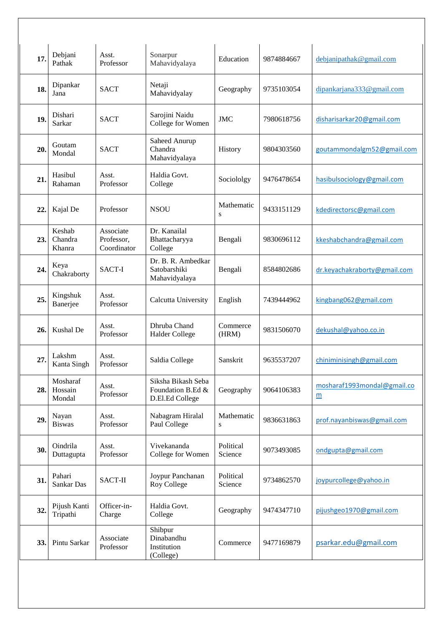| 17. | Debjani<br>Pathak             | Asst.<br>Professor                     | Sonarpur<br>Mahavidyalaya                                  | Education            | 9874884667 | debjanipathak@gmail.com                        |
|-----|-------------------------------|----------------------------------------|------------------------------------------------------------|----------------------|------------|------------------------------------------------|
| 18. | Dipankar<br>Jana              | <b>SACT</b>                            | Netaji<br>Mahavidyalay                                     | Geography            | 9735103054 | dipankarjana333@gmail.com                      |
| 19. | Dishari<br>Sarkar             | <b>SACT</b>                            | Sarojini Naidu<br>College for Women                        | <b>JMC</b>           | 7980618756 | disharisarkar20@gmail.com                      |
| 20. | Goutam<br>Mondal              | <b>SACT</b>                            | Saheed Anurup<br>Chandra<br>Mahavidyalaya                  | History              | 9804303560 | goutammondalgm52@gmail.com                     |
| 21. | Hasibul<br>Rahaman            | Asst.<br>Professor                     | Haldia Govt.<br>College                                    | Sociololgy           | 9476478654 | hasibulsociology@gmail.com                     |
| 22. | Kajal De                      | Professor                              | <b>NSOU</b>                                                | Mathematic<br>S      | 9433151129 | kdedirectorsc@gmail.com                        |
| 23. | Keshab<br>Chandra<br>Khanra   | Associate<br>Professor,<br>Coordinator | Dr. Kanailal<br>Bhattacharyya<br>College                   | Bengali              | 9830696112 | kkeshabchandra@gmail.com                       |
| 24. | Keya<br>Chakraborty           | SACT-I                                 | Dr. B. R. Ambedkar<br>Satobarshiki<br>Mahavidyalaya        | Bengali              | 8584802686 | dr.keyachakraborty@gmail.com                   |
| 25. | Kingshuk<br>Banerjee          | Asst.<br>Professor                     | Calcutta University                                        | English              | 7439444962 | kingbang062@gmail.com                          |
| 26. | Kushal De                     | Asst.<br>Professor                     | Dhruba Chand<br><b>Halder College</b>                      | Commerce<br>(HRM)    | 9831506070 | dekushal@yahoo.co.in                           |
| 27  | Lakshm<br>Kanta Singh         | Asst.<br>Professor                     | Saldia College                                             | Sanskrit             | 9635537207 | chiniminisingh@gmail.com                       |
| 28. | Mosharaf<br>Hossain<br>Mondal | Asst.<br>Professor                     | Siksha Bikash Seba<br>Foundation B.Ed &<br>D.El.Ed College | Geography            | 9064106383 | mosharaf1993mondal@gmail.co<br>$\underline{m}$ |
| 29. | Nayan<br><b>Biswas</b>        | Asst.<br>Professor                     | Nabagram Hiralal<br>Paul College                           | Mathematic<br>S      | 9836631863 | prof.nayanbiswas@gmail.com                     |
| 30. | Oindrila<br>Duttagupta        | Asst.<br>Professor                     | Vivekananda<br>College for Women                           | Political<br>Science | 9073493085 | ondgupta@gmail.com                             |
| 31. | Pahari<br>Sankar Das          | SACT-II                                | Joypur Panchanan<br>Roy College                            | Political<br>Science | 9734862570 | joypurcollege@yahoo.in                         |
| 32. | Pijush Kanti<br>Tripathi      | Officer-in-<br>Charge                  | Haldia Govt.<br>College                                    | Geography            | 9474347710 | pijushgeo1970@gmail.com                        |
| 33. | Pintu Sarkar                  | Associate<br>Professor                 | Shibpur<br>Dinabandhu<br>Institution<br>(College)          | Commerce             | 9477169879 | psarkar.edu@gmail.com                          |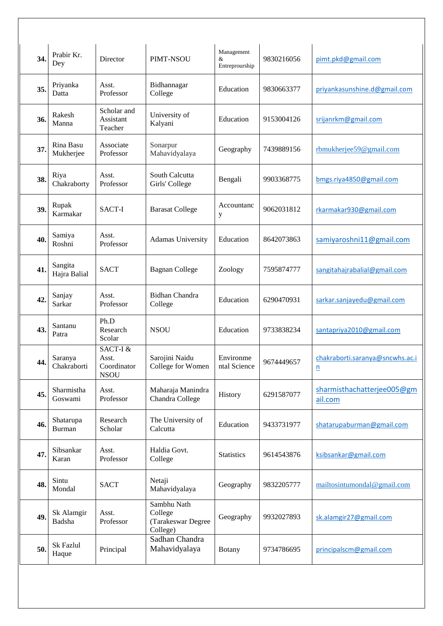| 34. | Prabir Kr.<br>Dey       | Director                                        | PIMT-NSOU                                                | Management<br>&<br>Entreprourship | 9830216056 | pimt.pkd@gmail.com                          |
|-----|-------------------------|-------------------------------------------------|----------------------------------------------------------|-----------------------------------|------------|---------------------------------------------|
| 35. | Priyanka<br>Datta       | Asst.<br>Professor                              | Bidhannagar<br>College                                   | Education                         | 9830663377 | priyankasunshine.d@gmail.com                |
| 36. | Rakesh<br>Manna         | Scholar and<br>Assistant<br>Teacher             | University of<br>Kalyani                                 | Education                         | 9153004126 | srijanrkm@gmail.com                         |
| 37. | Rina Basu<br>Mukherjee  | Associate<br>Professor                          | Sonarpur<br>Mahavidyalaya                                | Geography                         | 7439889156 | rbmukherjee59@gmail.com                     |
| 38. | Riya<br>Chakraborty     | Asst.<br>Professor                              | South Calcutta<br>Girls' College                         | Bengali                           | 9903368775 | bmgs.riya4850@gmail.com                     |
| 39. | Rupak<br>Karmakar       | SACT-I                                          | <b>Barasat College</b>                                   | Accountanc<br>у                   | 9062031812 | rkarmakar930@gmail.com                      |
| 40. | Samiya<br>Roshni        | Asst.<br>Professor                              | Adamas University                                        | Education                         | 8642073863 | samiyaroshni11@gmail.com                    |
| 41. | Sangita<br>Hajra Balial | <b>SACT</b>                                     | <b>Bagnan College</b>                                    | Zoology                           | 7595874777 | sangitahajrabalial@gmail.com                |
| 42. | Sanjay<br>Sarkar        | Asst.<br>Professor                              | <b>Bidhan Chandra</b><br>College                         | Education                         | 6290470931 | sarkar.sanjayedu@gmail.com                  |
| 43. | Santanu<br>Patra        | Ph.D<br>Research<br>Scolar                      | <b>NSOU</b>                                              | Education                         | 9733838234 | santapriya2010@gmail.com                    |
| 44. | Saranya<br>Chakraborti  | SACT-I &<br>Asst.<br>Coordinator<br><b>NSOU</b> | Sarojini Naidu<br>College for Women                      | Environme<br>ntal Science         | 9674449657 | chakraborti.saranya@sncwhs.ac.i<br><u>n</u> |
| 45. | Sharmistha<br>Goswami   | Asst.<br>Professor                              | Maharaja Manindra<br>Chandra College                     | History                           | 6291587077 | sharmisthachatterjee005@gm<br>ail.com       |
| 46. | Shatarupa<br>Burman     | Research<br>Scholar                             | The University of<br>Calcutta                            | Education                         | 9433731977 | shatarupaburman@gmail.com                   |
| 47. | Sibsankar<br>Karan      | Asst.<br>Professor                              | Haldia Govt.<br>College                                  | <b>Statistics</b>                 | 9614543876 | ksibsankar@gmail.com                        |
| 48. | Sintu<br>Mondal         | <b>SACT</b>                                     | Netaji<br>Mahavidyalaya                                  | Geography                         | 9832205777 | mailtosintumondal@gmail.com                 |
| 49. | Sk Alamgir<br>Badsha    | Asst.<br>Professor                              | Sambhu Nath<br>College<br>(Tarakeswar Degree<br>College) | Geography                         | 9932027893 | sk.alamgir27@gmail.com                      |
| 50. | Sk Fazlul<br>Haque      | Principal                                       | Sadhan Chandra<br>Mahavidyalaya                          | <b>Botany</b>                     | 9734786695 | principalscm@gmail.com                      |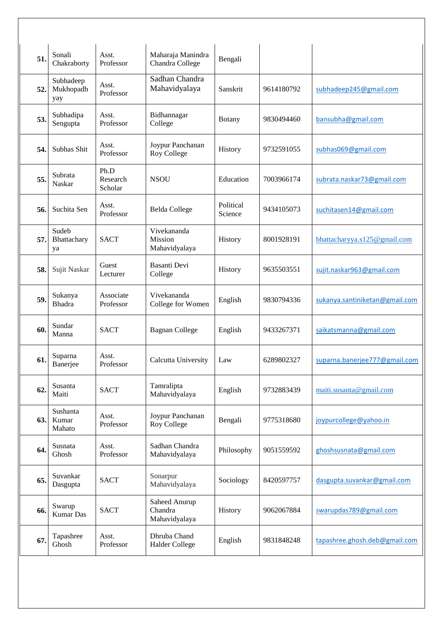| 51. | Sonali<br>Chakraborty         | Asst.<br>Professor          | Maharaja Manindra<br>Chandra College      | Bengali              |            |                                |
|-----|-------------------------------|-----------------------------|-------------------------------------------|----------------------|------------|--------------------------------|
| 52. | Subhadeep<br>Mukhopadh<br>yay | Asst.<br>Professor          | Sadhan Chandra<br>Mahavidyalaya           | Sanskrit             | 9614180792 | subhadeep245@gmail.com         |
| 53. | Subhadipa<br>Sengupta         | Asst.<br>Professor          | Bidhannagar<br>College                    | <b>Botany</b>        | 9830494460 | bansubha@gmail.com             |
| 54. | Subhas Shit                   | Asst.<br>Professor          | Joypur Panchanan<br>Roy College           | History              | 9732591055 | subhas069@gmail.com            |
| 55. | Subrata<br>Naskar             | Ph.D<br>Research<br>Scholar | <b>NSOU</b>                               | Education            | 7003966174 | subrata.naskar73@gmail.com     |
| 56. | Suchita Sen                   | Asst.<br>Professor          | <b>Belda College</b>                      | Political<br>Science | 9434105073 | suchitasen14@gmail.com         |
| 57. | Sudeb<br>Bhattachary<br>ya    | <b>SACT</b>                 | Vivekananda<br>Mission<br>Mahavidyalaya   | History              | 8001928191 | bhattacharyya.s125@gmail.com   |
| 58. | Sujit Naskar                  | Guest<br>Lecturer           | <b>Basanti Devi</b><br>College            | History              | 9635503551 | sujit.naskar963@gmail.com      |
| 59. | Sukanya<br><b>Bhadra</b>      | Associate<br>Professor      | Vivekananda<br>College for Women          | English              | 9830794336 | sukanya.santiniketan@gmail.com |
| 60. | Sundar<br>Manna               | <b>SACT</b>                 | <b>Bagnan College</b>                     | English              | 9433267371 | saikatsmanna@gmail.com         |
| 61. | Suparna<br>Banerjee           | Asst.<br>Professor          | Calcutta University                       | Law                  | 6289802327 | suparna.banerjee777@gmail.com  |
| 62. | Susanta<br>Maiti              | <b>SACT</b>                 | Tamralipta<br>Mahavidyalaya               | English              | 9732883439 | maiti.susanta@gmail.com        |
| 63. | Sushanta<br>Kumar<br>Mahato   | Asst.<br>Professor          | Joypur Panchanan<br>Roy College           | Bengali              | 9775318680 | joypurcollege@yahoo.in         |
| 64. | Susnata<br>Ghosh              | Asst.<br>Professor          | Sadhan Chandra<br>Mahavidyalaya           | Philosophy           | 9051559592 | ghoshsusnata@gmail.com         |
| 65. | Suvankar<br>Dasgupta          | <b>SACT</b>                 | Sonarpur<br>Mahavidyalaya                 | Sociology            | 8420597757 | dasgupta.suvankar@gmail.com    |
| 66. | Swarup<br><b>Kumar Das</b>    | <b>SACT</b>                 | Saheed Anurup<br>Chandra<br>Mahavidyalaya | History              | 9062067884 | swarupdas789@gmail.com         |
| 67. | Tapashree<br>Ghosh            | Asst.<br>Professor          | Dhruba Chand<br><b>Halder College</b>     | English              | 9831848248 | tapashree.ghosh.deb@gmail.com  |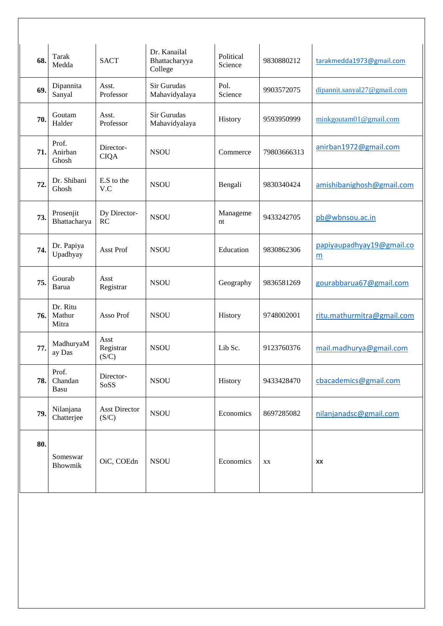| 68. | Tarak<br>Medda              | <b>SACT</b>                   | Dr. Kanailal<br>Bhattacharyya<br>College | Political<br>Science | 9830880212  | tarakmedda1973@gmail.com       |
|-----|-----------------------------|-------------------------------|------------------------------------------|----------------------|-------------|--------------------------------|
| 69. | Dipannita<br>Sanyal         | Asst.<br>Professor            | Sir Gurudas<br>Mahavidyalaya             | Pol.<br>Science      | 9903572075  | dipannit.sanyal27@gmail.com    |
| 70. | Goutam<br>Halder            | Asst.<br>Professor            | Sir Gurudas<br>Mahavidyalaya             | History              | 9593950999  | minkgoutam01@gmail.com         |
| 71. | Prof.<br>Anirban<br>Ghosh   | Director-<br><b>CIQA</b>      | <b>NSOU</b>                              | Commerce             | 79803666313 | anirban1972@gmail.com          |
| 72  | Dr. Shibani<br>Ghosh        | E.S to the<br>V.C             | <b>NSOU</b>                              | Bengali              | 9830340424  | amishibanighosh@gmail.com      |
| 73. | Prosenjit<br>Bhattacharya   | Dy Director-<br>RC            | <b>NSOU</b>                              | Manageme<br>nt       | 9433242705  | pb@wbnsou.ac.in                |
| 74. | Dr. Papiya<br>Upadhyay      | <b>Asst Prof</b>              | <b>NSOU</b>                              | Education            | 9830862306  | papiyaupadhyay19@gmail.co<br>m |
| 75. | Gourab<br>Barua             | Asst<br>Registrar             | <b>NSOU</b>                              | Geography            | 9836581269  | gourabbarua67@gmail.com        |
| 76. | Dr. Ritu<br>Mathur<br>Mitra | Asso Prof                     | <b>NSOU</b>                              | History              | 9748002001  | ritu.mathurmitra@gmail.com     |
| 77. | MadhuryaM<br>ay Das         | Asst<br>Registrar<br>(S/C)    | <b>NSOU</b>                              | Lib Sc.              | 9123760376  | mail.madhurya@gmail.com        |
| 78. | Prof.<br>Chandan<br>Basu    | Director-<br>SoSS             | <b>NSOU</b>                              | History              | 9433428470  | cbacademics@gmail.com          |
| 79. | Nilanjana<br>Chatterjee     | <b>Asst Director</b><br>(S/C) | <b>NSOU</b>                              | Economics            | 8697285082  | nilanjanadsc@gmail.com         |
| 80. | Someswar<br><b>Bhowmik</b>  | OiC, COEdn                    | <b>NSOU</b>                              | Economics            | XX          | XX                             |